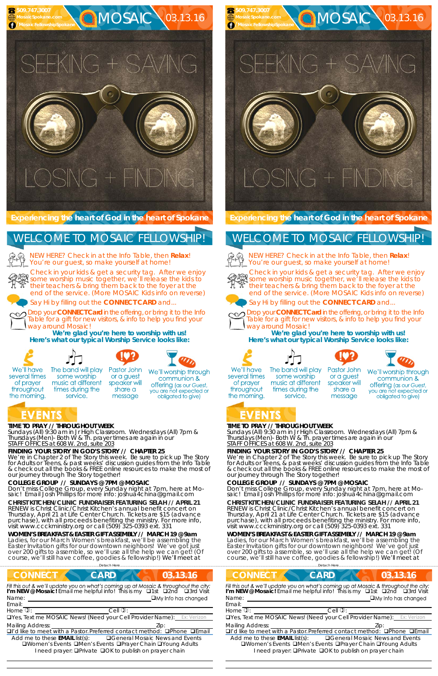## **C**MOSAIC 03.13.16 **MosaicSpokane.com /MosaicFellowshipSpokane**  $XNG + SA$

## $C_1 + |N|$

**TIME TO PRAY // THROUGHOUT WEEK**  *Sundays* (All) 9:30 am in Jr High Classroom. *Wednesdays* (All) 7pm &

service.

#### *Thursdays* (Men)- Both W & Th. prayer times are again in our *STAFF OFFICES at 608 W. 2nd, suite 203*

**FINDING YOUR STORY IN GOD'S STORY // CHAPTER 25** 

We're in Chapter 2 of The Story this week. Be sure to pick up The Story for Adults or Teens, & past weeks' discussion guides from the Info Table & check out all the books & FREE online resources to make the most of our journey through The Story together!

#### **COLLEGE GROUP // SUNDAYS @ 7PM @ MOSAIC**

NEW HERE? Check in at the Info Table, then **Relax**! You're our guest, so make yourself at home!

Don't miss College Group, every Sunday night at 7pm, here at Mosaic! Email Josh Phillips for more info: joshua4china@gmail.com **CHRIST KITCHEN/CLINIC FUNDRAISER FEATURING SELAH // APRIL 21**  RENEW is Christ Clinic/Christ Kitchen's annual benefit concert on Thursday, April 21 at Life Center Church. Tickets are \$15 (advance purchase), with all proceeds benefiting the ministry. For more info, visit www.ccckministry.org or call (509) 325-0393 ext. 331



**C**MOSAIC 03.13.16

# $\widehat{a}$  +  $\vdash$   $\uparrow$

**WOMEN'S BREAKFAST & EASTER GIFT ASSEMBLY // MARCH 19 @ 9am**  Ladies, for our March Women's breakfast, we'll be assembling the Easter Invitation gifts for our downtown neighbors! We've got just over 200 gifts to assemble, so we'll use all the help we can get! (Of course, we'll still have coffee, goodies & fellowship!) We'll meet at

**Experiencing the heart of God in the heart of Spokane** 

Check in your kids & get a security tag. After we enjoy some worship music together, we'll release the kids to their teachers & bring them back to the foyer at the end of the service. (More MOSAIC Kids info on reverse)



Drop your **CONNECT Card** in the offering, or bring it to the Info Table for a gift for new visitors, & info to help you find your way around Mosaic!

| Detach Here                                                                                                                                                           |                                                                                                                                                                   |
|-----------------------------------------------------------------------------------------------------------------------------------------------------------------------|-------------------------------------------------------------------------------------------------------------------------------------------------------------------|
| <b>CARD</b>                                                                                                                                                           | 03.13.16                                                                                                                                                          |
|                                                                                                                                                                       | Fill this out & we'll update you on what's coming up at Mosaic & throughout the city:<br>I'm NEW @ Mosaic! Email me helpful info! This is my Q1st Q2nd Q3rd Visit |
|                                                                                                                                                                       | $\Box$ My Info has changed                                                                                                                                        |
|                                                                                                                                                                       |                                                                                                                                                                   |
| $Cell$ $\mathcal{D}$ :                                                                                                                                                |                                                                                                                                                                   |
|                                                                                                                                                                       | <b>OYes, Text me MOSAIC News! (Need your Cell Provider Name):</b> Ex: Verizon                                                                                     |
|                                                                                                                                                                       | Zip:                                                                                                                                                              |
|                                                                                                                                                                       | □I'd like to meet with a Pastor. Preferred contact method: □Phone □Email                                                                                          |
| Add me to these $EMAIL$ list(s):<br><b>QWomen's Events QMen's Events QPrayer Chain QYoung Adults</b><br>I need prayer: <b>QPrivate QOK</b> to publish on prayer chain | <b>□ General Mosaic News and Events</b>                                                                                                                           |
|                                                                                                                                                                       |                                                                                                                                                                   |

**We're glad you're here to worship with us! Here's what our typical Worship Service looks like:** 



several times

of prayer

throughout

the morning.

NEW HERE? Check in at the Info Table, then **Relax**! You're our guest, so make yourself at home!



 **509.747.3007** 

### WELCOME TO MOSAIC FELLOWSHIP!







We'll worship through

communion & offering (as our Guest, you are not expected or obligated to give)

### EVENTS

#### **TIME TO PRAY // THROUGHOUT WEEK**  *Sundays* (All) 9:30 am in Jr High Classroom. *Wednesdays* (All) 7pm & *Thursdays* (Men)- Both W & Th. prayer times are again in our *STAFF OFFICES at 608 W. 2nd, suite 203*

#### **FINDING YOUR STORY IN GOD'S STORY // CHAPTER 25**

We're in Chapter 2 of The Story this week. Be sure to pick up The Story for Adults or Teens, & past weeks' discussion guides from the Info Table & check out all the books & FREE online resources to make the most of our journey through The Story together!

#### **COLLEGE GROUP // SUNDAYS @ 7PM @ MOSAIC**

Don't miss College Group, every Sunday night at 7pm, here at Mosaic! Email Josh Phillips for more info: joshua4china@gmail.com **CHRIST KITCHEN/CLINIC FUNDRAISER FEATURING SELAH // APRIL 21**  RENEW is Christ Clinic/Christ Kitchen's annual benefit concert on Thursday, April 21 at Life Center Church. Tickets are \$15 (advance purchase), with all proceeds benefiting the ministry. For more info, visit www.ccckministry.org or call (509) 325-0393 ext. 331



message



**WOMEN'S BREAKFAST & EASTER GIFT ASSEMBLY // MARCH 19 @ 9am**  Ladies, for our March Women's breakfast, we'll be assembling the Easter Invitation gifts for our downtown neighbors! We've got just over 200 gifts to assemble, so we'll use all the help we can get! (Of course, we'll still have coffee, goodies & fellowship!) We'll meet at

#### **Experiencing the heart of God in the heart of Spokane**

Check in your kids & get a security tag. After we enjoy some worship music together, we'll release the kids to their teachers & bring them back to the foyer at the end of the service. (More MOSAIC Kids info on reverse)



Say Hi by filling out the **CONNECT CARD** and...



Drop your **CONNECT Card** in the offering, or bring it to the Info Table for a gift for new visitors, & info to help you find your way around Mosaic!

**We're glad you're here to worship with us! Here's what our typical Worship Service looks like:** 









We'll have several times of prayer throughout the morning.

 **509.747.3007 MosaicSpokane.com /MosaicFellowshipSpokane**

## WELCOME TO MOSAIC FELLOWSHIP!



The band will play some worship music at different times during the service.

Pastor John or a guest speaker will share a message

We'll worship through communion & offering (as our Guest, you are not expected or obligated to give)

## EVENTS